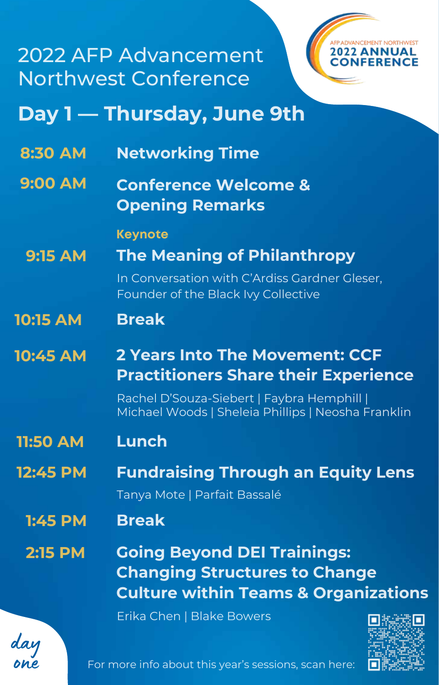### 2022 AFP Advancement Northwest Conference



# Day 1 – Thursday, June 9th

- **8 : 3 0 A M Networking Time**
- **9 : 0 0 A M Conference Welcome & Opening Remarks**

#### **K e y n o t e**

In Conversation with C'Ardiss Gardner Gleser, **9 : 1 5 A M The Meaning of Philanthropy** 

Founder of the Black Ivy Collective

**1 0 : 1 5 A M B r e a k**

#### **1 0 : 4 5 A M 2** Years Into The Movement: CCF **Practitioners Share their Experience**

Rachel D'Souza-Siebert | Faybra Hemphill | Michael Woods | Sheleia Phillips | Neosha Franklin

- **1 1 : 5 0 A M L u n c h**
- Tanya Mote | Parfait Bassalé **1 2 : 4 5 P M Fundraising Through an Equity Lens** 
	- **B r e a k 1 : 4 5 P M**
	- **Going Beyond DEI Trainings: Changing Structures to Change Culture within Teams & Organizations 2 : 1 5 P M**

day one

Erika Chen | Blake Bowers



For more info about this year's sessions, scan here: